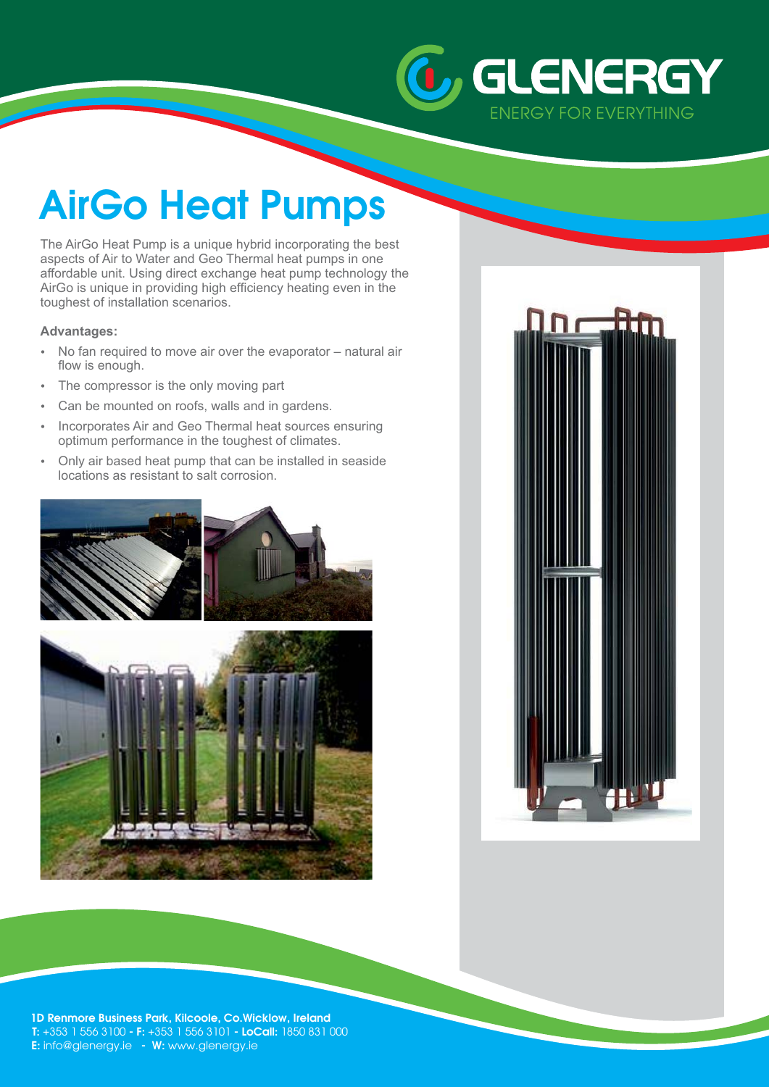

# **AirGo Heat Pumps**

The AirGo Heat Pump is a unique hybrid incorporating the best aspects of Air to Water and Geo Thermal heat pumps in one affordable unit. Using direct exchange heat pump technology the AirGo is unique in providing high efficiency heating even in the toughest of installation scenarios.

### **Advantages:**

- - No fan required to move air over the evaporator – natural air flow is enough.
- -The compressor is the only moving part
- -Can be mounted on roofs, walls and in gardens.
- Incorporates Air and Geo Thermal heat sources ensuring optimum performance in the toughest of climates.
- - Only air based heat pump that can be installed in seaside locations as resistant to salt corrosion.







**1D Renmore Business Park, Kilcoole, Co.Wicklow, Ireland T:** +353 1 556 3100 - F: +353 1 556 3101 - LoCall: 1850 831 000 **E:** info@glenergy.ie - W: www.glenergy.ie